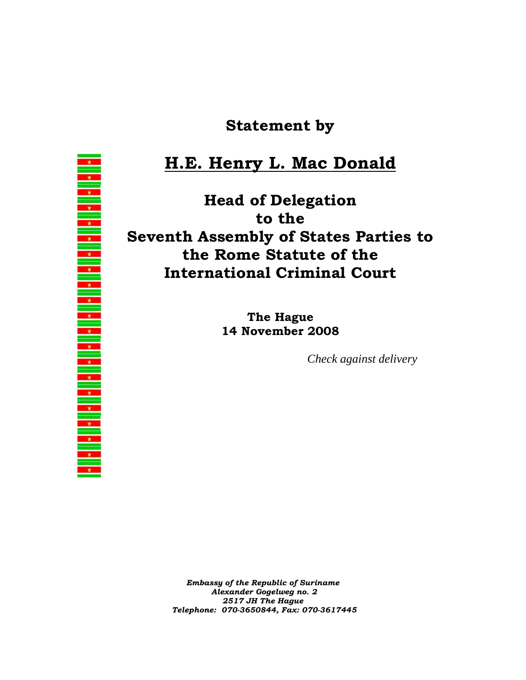## **Statement by**

## **H.E. Henry L. Mac Donald**

**Head of Delegation to the Seventh Assembly of States Parties to the Rome Statute of the International Criminal Court** 

> **The Hague 14 November 2008**

> > *Check against delivery*

*Embassy of the Republic of Suriname Alexander Gogelweg no. 2 2517 JH The Hague Telephone: 070-3650844, Fax: 070-3617445*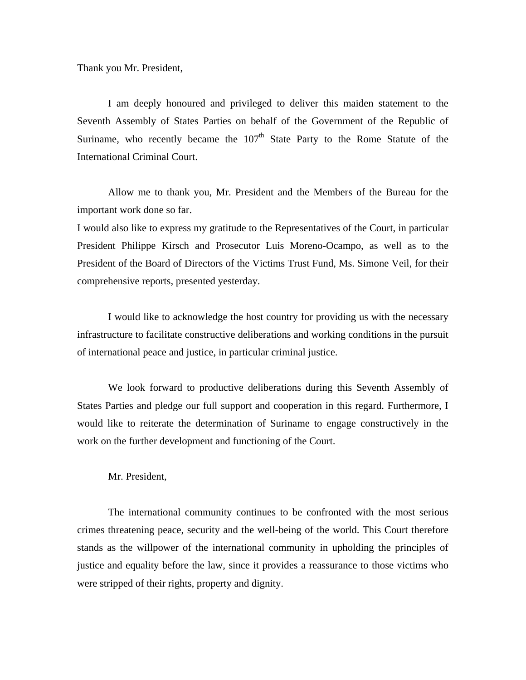Thank you Mr. President,

I am deeply honoured and privileged to deliver this maiden statement to the Seventh Assembly of States Parties on behalf of the Government of the Republic of Suriname, who recently became the  $107<sup>th</sup>$  State Party to the Rome Statute of the International Criminal Court.

Allow me to thank you, Mr. President and the Members of the Bureau for the important work done so far.

I would also like to express my gratitude to the Representatives of the Court, in particular President Philippe Kirsch and Prosecutor Luis Moreno-Ocampo, as well as to the President of the Board of Directors of the Victims Trust Fund, Ms. Simone Veil, for their comprehensive reports, presented yesterday.

I would like to acknowledge the host country for providing us with the necessary infrastructure to facilitate constructive deliberations and working conditions in the pursuit of international peace and justice, in particular criminal justice.

We look forward to productive deliberations during this Seventh Assembly of States Parties and pledge our full support and cooperation in this regard. Furthermore, I would like to reiterate the determination of Suriname to engage constructively in the work on the further development and functioning of the Court.

Mr. President,

The international community continues to be confronted with the most serious crimes threatening peace, security and the well-being of the world. This Court therefore stands as the willpower of the international community in upholding the principles of justice and equality before the law, since it provides a reassurance to those victims who were stripped of their rights, property and dignity.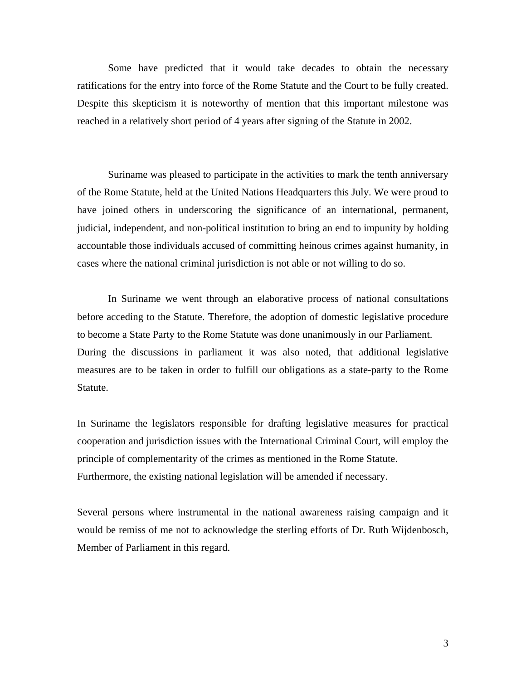Some have predicted that it would take decades to obtain the necessary ratifications for the entry into force of the Rome Statute and the Court to be fully created. Despite this skepticism it is noteworthy of mention that this important milestone was reached in a relatively short period of 4 years after signing of the Statute in 2002.

Suriname was pleased to participate in the activities to mark the tenth anniversary of the Rome Statute, held at the United Nations Headquarters this July. We were proud to have joined others in underscoring the significance of an international, permanent, judicial, independent, and non-political institution to bring an end to impunity by holding accountable those individuals accused of committing heinous crimes against humanity, in cases where the national criminal jurisdiction is not able or not willing to do so.

In Suriname we went through an elaborative process of national consultations before acceding to the Statute. Therefore, the adoption of domestic legislative procedure to become a State Party to the Rome Statute was done unanimously in our Parliament. During the discussions in parliament it was also noted, that additional legislative measures are to be taken in order to fulfill our obligations as a state-party to the Rome Statute.

In Suriname the legislators responsible for drafting legislative measures for practical cooperation and jurisdiction issues with the International Criminal Court, will employ the principle of complementarity of the crimes as mentioned in the Rome Statute. Furthermore, the existing national legislation will be amended if necessary.

Several persons where instrumental in the national awareness raising campaign and it would be remiss of me not to acknowledge the sterling efforts of Dr. Ruth Wijdenbosch, Member of Parliament in this regard.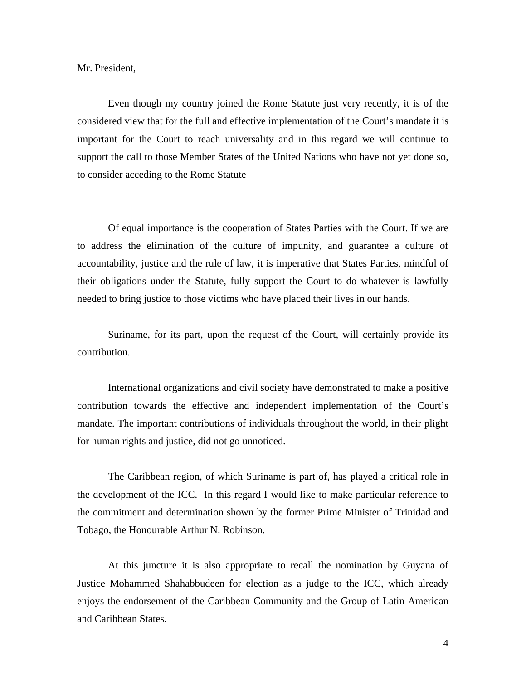Mr. President,

 Even though my country joined the Rome Statute just very recently, it is of the considered view that for the full and effective implementation of the Court's mandate it is important for the Court to reach universality and in this regard we will continue to support the call to those Member States of the United Nations who have not yet done so, to consider acceding to the Rome Statute

 Of equal importance is the cooperation of States Parties with the Court. If we are to address the elimination of the culture of impunity, and guarantee a culture of accountability, justice and the rule of law, it is imperative that States Parties, mindful of their obligations under the Statute, fully support the Court to do whatever is lawfully needed to bring justice to those victims who have placed their lives in our hands.

 Suriname, for its part, upon the request of the Court, will certainly provide its contribution.

 International organizations and civil society have demonstrated to make a positive contribution towards the effective and independent implementation of the Court's mandate. The important contributions of individuals throughout the world, in their plight for human rights and justice, did not go unnoticed.

The Caribbean region, of which Suriname is part of, has played a critical role in the development of the ICC. In this regard I would like to make particular reference to the commitment and determination shown by the former Prime Minister of Trinidad and Tobago, the Honourable Arthur N. Robinson.

At this juncture it is also appropriate to recall the nomination by Guyana of Justice Mohammed Shahabbudeen for election as a judge to the ICC, which already enjoys the endorsement of the Caribbean Community and the Group of Latin American and Caribbean States.